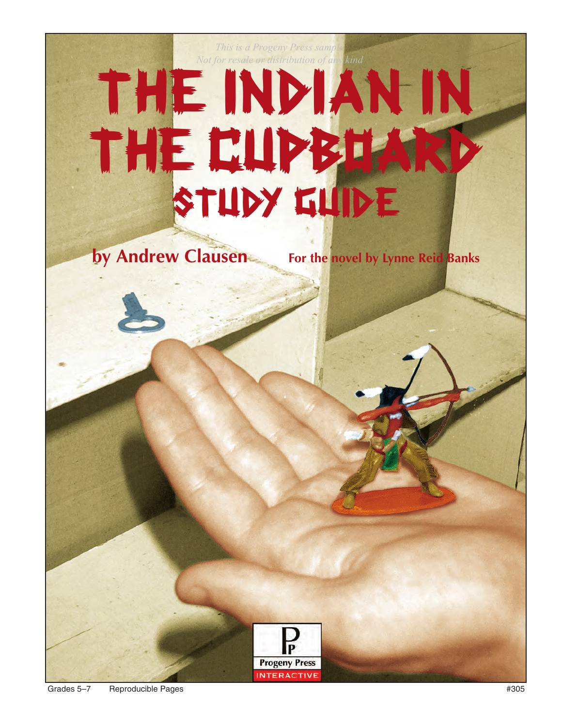# The Indian in THE CUPBOAR STUDY GUIDE *This is a Progeny Press sample Not for resale or distribution of any kind*

**Progeny Press INTERACTIVE** 

**by Andrew Clausen For the novel by Lynne Reid Banks**

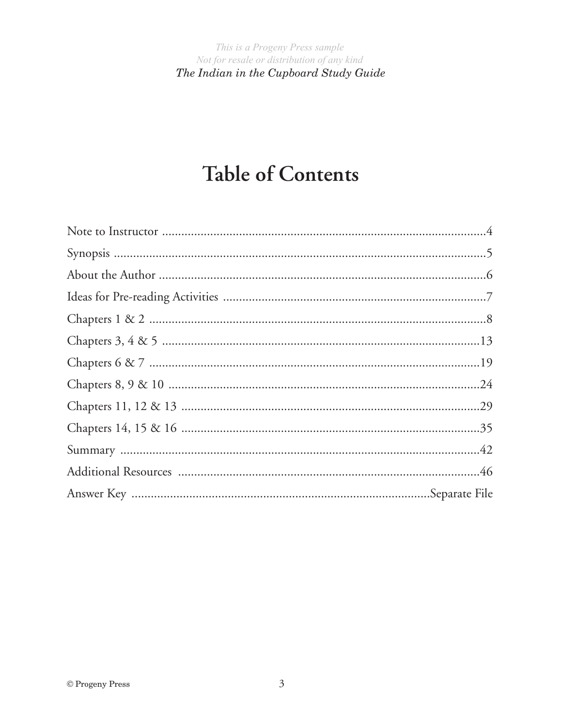# **Table of Contents**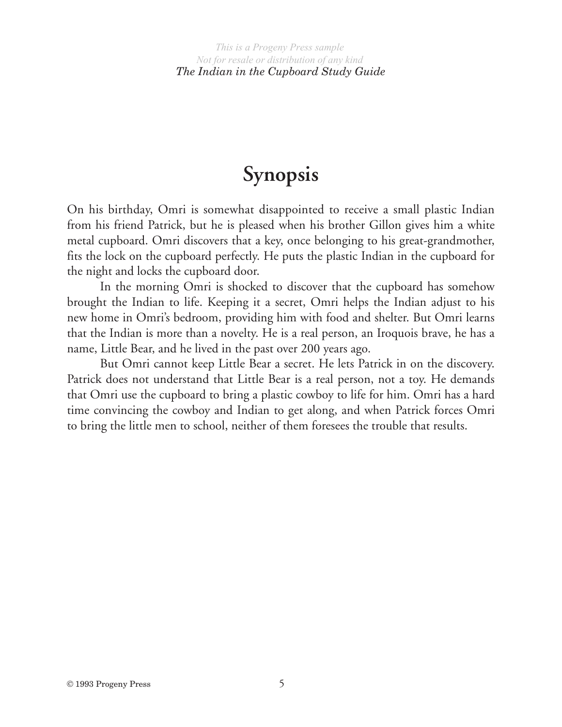# **Synopsis**

On his birthday, Omri is somewhat disappointed to receive a small plastic Indian from his friend Patrick, but he is pleased when his brother Gillon gives him a white metal cupboard. Omri discovers that a key, once belonging to his great-grandmother, fits the lock on the cupboard perfectly. He puts the plastic Indian in the cupboard for the night and locks the cupboard door.

In the morning Omri is shocked to discover that the cupboard has somehow brought the Indian to life. Keeping it a secret, Omri helps the Indian adjust to his new home in Omri's bedroom, providing him with food and shelter. But Omri learns that the Indian is more than a novelty. He is a real person, an Iroquois brave, he has a name, Little Bear, and he lived in the past over 200 years ago.

But Omri cannot keep Little Bear a secret. He lets Patrick in on the discovery. Patrick does not understand that Little Bear is a real person, not a toy. He demands that Omri use the cupboard to bring a plastic cowboy to life for him. Omri has a hard time convincing the cowboy and Indian to get along, and when Patrick forces Omri to bring the little men to school, neither of them foresees the trouble that results.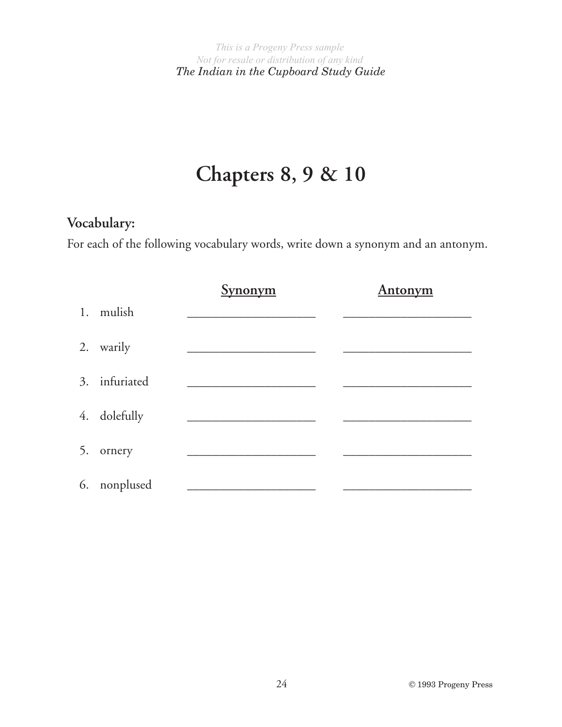# **Chapters 8, 9 & 10**

# **Vocabulary:**

For each of the following vocabulary words, write down a synonym and an antonym.

|               | <b>Synonym</b> | <b>Antonym</b> |
|---------------|----------------|----------------|
| 1. mulish     |                |                |
| 2. warily     |                |                |
| 3. infuriated |                |                |
| 4. dolefully  |                |                |
| 5. ornery     |                |                |
| 6. nonplused  |                |                |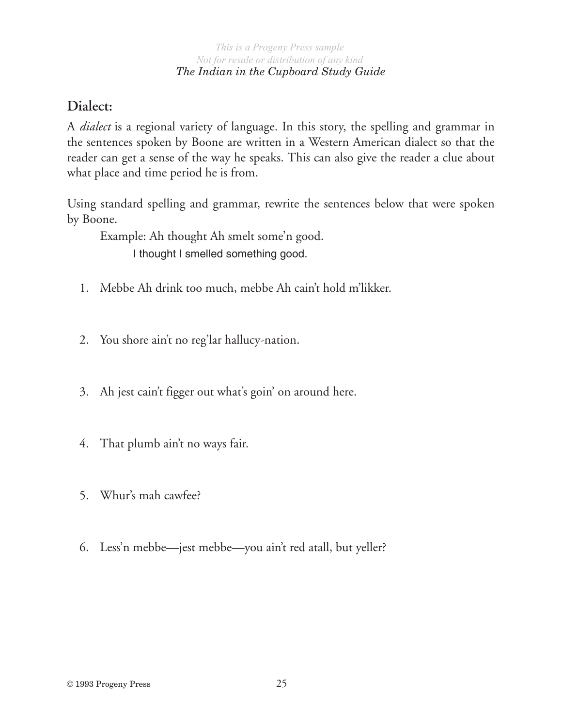### *The Indian in the Cupboard Study Guide*

## **Dialect:**

A *dialect* is a regional variety of language. In this story, the spelling and grammar in the sentences spoken by Boone are written in a Western American dialect so that the reader can get a sense of the way he speaks. This can also give the reader a clue about what place and time period he is from.

Using standard spelling and grammar, rewrite the sentences below that were spoken by Boone.

Example: Ah thought Ah smelt some'n good. I thought I smelled something good.

- 1. Mebbe Ah drink too much, mebbe Ah cain't hold m'likker.
- 2. You shore ain't no reg'lar hallucy-nation.
- 3. Ah jest cain't figger out what's goin' on around here.
- 4. That plumb ain't no ways fair.
- 5. Whur's mah cawfee?
- 6. Less'n mebbe—jest mebbe—you ain't red atall, but yeller?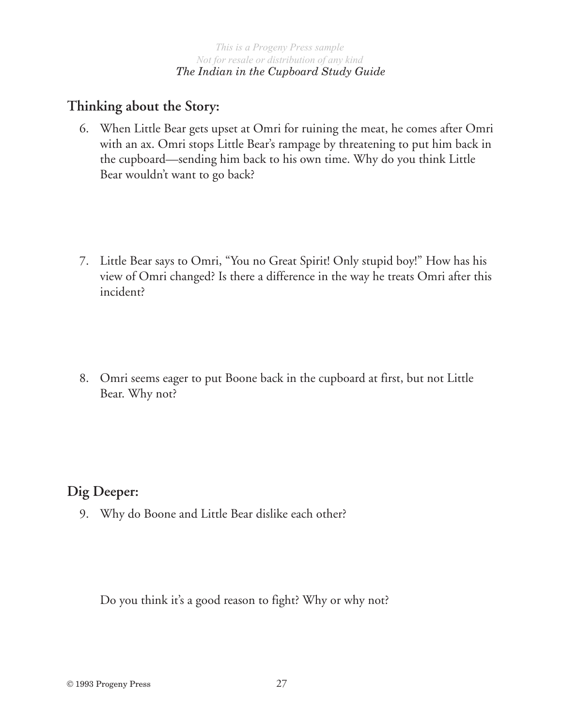## **Thinking about the Story:**

- 6. When Little Bear gets upset at Omri for ruining the meat, he comes after Omri with an ax. Omri stops Little Bear's rampage by threatening to put him back in the cupboard—sending him back to his own time. Why do you think Little Bear wouldn't want to go back?
- 7. Little Bear says to Omri, "You no Great Spirit! Only stupid boy!" How has his view of Omri changed? Is there a difference in the way he treats Omri after this incident?
- 8. Omri seems eager to put Boone back in the cupboard at first, but not Little Bear. Why not?

## **Dig Deeper:**

9. Why do Boone and Little Bear dislike each other?

Do you think it's a good reason to fight? Why or why not?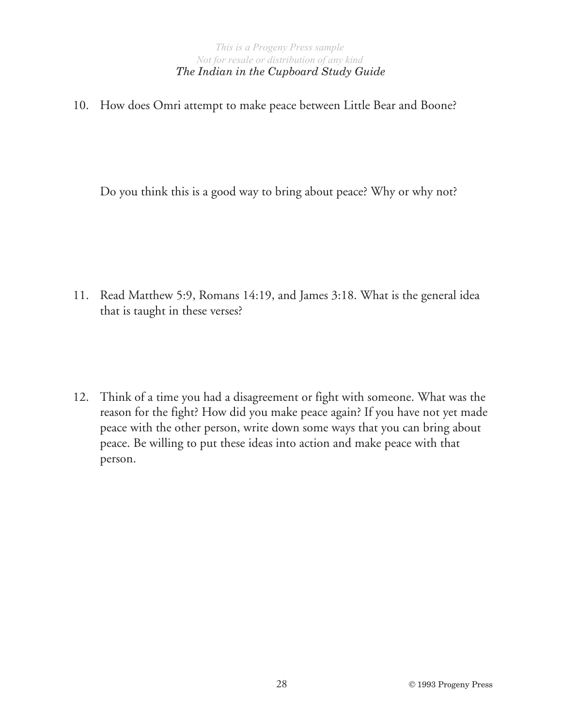#### *The Indian in the Cupboard Study Guide*

10. How does Omri attempt to make peace between Little Bear and Boone?

Do you think this is a good way to bring about peace? Why or why not?

11. Read Matthew 5:9, Romans 14:19, and James 3:18. What is the general idea that is taught in these verses?

12. Think of a time you had a disagreement or fight with someone. What was the reason for the fight? How did you make peace again? If you have not yet made peace with the other person, write down some ways that you can bring about peace. Be willing to put these ideas into action and make peace with that person.